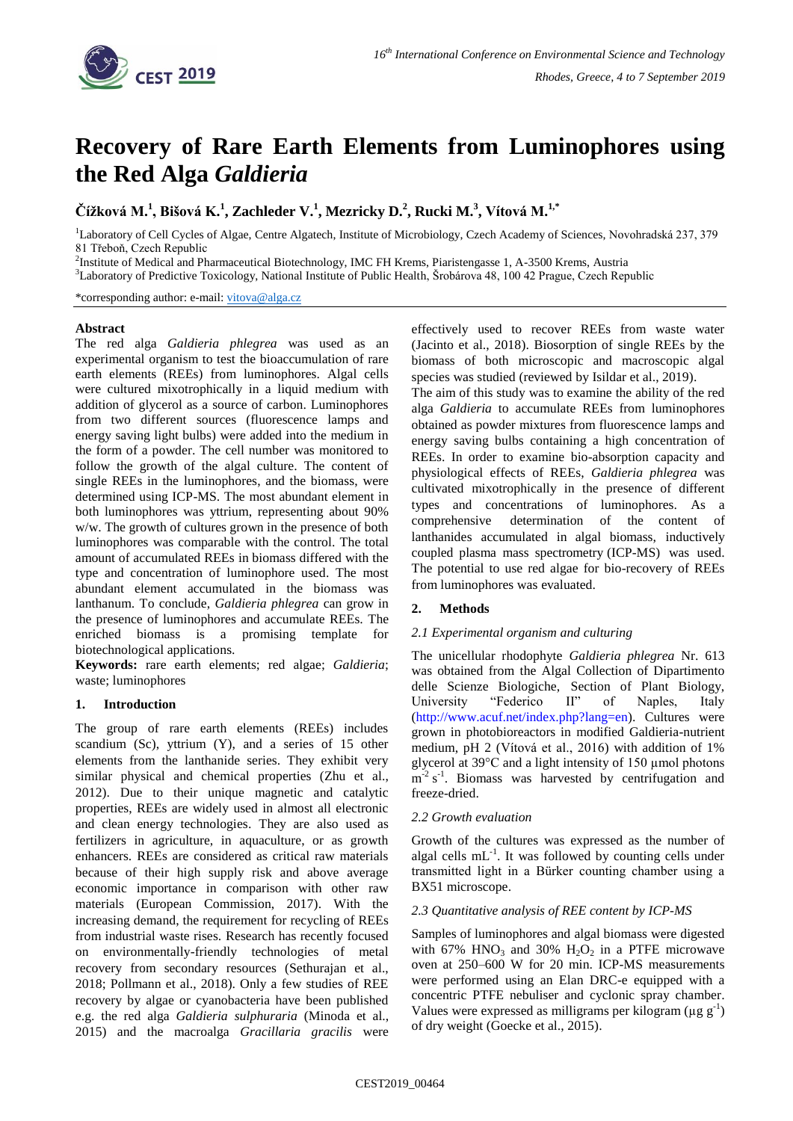

# **Recovery of Rare Earth Elements from Luminophores using the Red Alga** *Galdieria*

**Čížková M.<sup>1</sup> , Bišová K.<sup>1</sup> , Zachleder V.<sup>1</sup> , Mezricky D.<sup>2</sup> , Rucki M.<sup>3</sup> , Vítová M.1,\***

<sup>1</sup>Laboratory of Cell Cycles of Algae, Centre Algatech, Institute of Microbiology, Czech Academy of Sciences, Novohradská 237, 379 81 Třeboň, Czech Republic

<sup>2</sup>Institute of Medical and Pharmaceutical Biotechnology, IMC FH Krems, Piaristengasse 1, A-3500 Krems, Austria

<sup>3</sup>Laboratory of Predictive Toxicology, National Institute of Public Health, Šrobárova 48, 100 42 Prague, Czech Republic

\*corresponding author: e-mail: [vitova@alga.cz](mailto:vitova@alga.cz)

## **Abstract**

The red alga *Galdieria phlegrea* was used as an experimental organism to test the bioaccumulation of rare earth elements (REEs) from luminophores. Algal cells were cultured mixotrophically in a liquid medium with addition of glycerol as a source of carbon. Luminophores from two different sources (fluorescence lamps and energy saving light bulbs) were added into the medium in the form of a powder. The cell number was monitored to follow the growth of the algal culture. The content of single REEs in the luminophores, and the biomass, were determined using ICP-MS. The most abundant element in both luminophores was yttrium, representing about 90% w/w. The growth of cultures grown in the presence of both luminophores was comparable with the control. The total amount of accumulated REEs in biomass differed with the type and concentration of luminophore used. The most abundant element accumulated in the biomass was lanthanum. To conclude, *Galdieria phlegrea* can grow in the presence of luminophores and accumulate REEs. The enriched biomass is a promising template for biotechnological applications.

**Keywords:** rare earth elements; red algae; *Galdieria*; waste; luminophores

# **1. Introduction**

The group of rare earth elements (REEs) includes scandium (Sc), yttrium (Y), and a series of 15 other elements from the lanthanide series. They exhibit very similar physical and chemical properties (Zhu et al., 2012). Due to their unique magnetic and catalytic properties, REEs are widely used in almost all electronic and clean energy technologies. They are also used as fertilizers in agriculture, in aquaculture, or as growth enhancers. REEs are considered as critical raw materials because of their high supply risk and above average economic importance in comparison with other raw materials (European Commission, 2017). With the increasing demand, the requirement for recycling of REEs from industrial waste rises. Research has recently focused on environmentally-friendly technologies of metal recovery from secondary resources (Sethurajan et al., 2018; Pollmann et al., 2018). Only a few studies of REE recovery by algae or cyanobacteria have been published e.g. the red alga *Galdieria sulphuraria* (Minoda et al., 2015) and the macroalga *Gracillaria gracilis* were effectively used to recover REEs from waste water (Jacinto et al., 2018). Biosorption of single REEs by the biomass of both microscopic and macroscopic algal species was studied (reviewed by Isildar et al., 2019).

The aim of this study was to examine the ability of the red alga *Galdieria* to accumulate REEs from luminophores obtained as powder mixtures from fluorescence lamps and energy saving bulbs containing a high concentration of REEs. In order to examine bio-absorption capacity and physiological effects of REEs, *Galdieria phlegrea* was cultivated mixotrophically in the presence of different types and concentrations of luminophores. As a comprehensive determination of the content of lanthanides accumulated in algal biomass, inductively coupled plasma mass spectrometry (ICP-MS) was used. The potential to use red algae for bio-recovery of REEs from luminophores was evaluated.

# **2. Methods**

# *2.1 Experimental organism and culturing*

The unicellular rhodophyte *Galdieria phlegrea* Nr. 613 was obtained from the Algal Collection of Dipartimento delle Scienze Biologiche, Section of Plant Biology, University "Federico II" of Naples, Italy (http://www.acuf.net/index.php?lang=en). Cultures were grown in photobioreactors in modified Galdieria-nutrient medium, pH 2 (Vítová et al., 2016) with addition of 1% glycerol at 39°C and a light intensity of 150 µmol photons  $m<sup>-2</sup> s<sup>-1</sup>$ . Biomass was harvested by centrifugation and freeze-dried.

### *2.2 Growth evaluation*

Growth of the cultures was expressed as the number of algal cells  $mL^{-1}$ . It was followed by counting cells under transmitted light in a Bürker counting chamber using a BX51 microscope.

### *2.3 Quantitative analysis of REE content by ICP-MS*

Samples of luminophores and algal biomass were digested with 67%  $HNO<sub>3</sub>$  and 30%  $H<sub>2</sub>O<sub>2</sub>$  in a PTFE microwave oven at 250–600 W for 20 min. ICP-MS measurements were performed using an Elan DRC-e equipped with a concentric PTFE nebuliser and cyclonic spray chamber. Values were expressed as milligrams per kilogram ( $\mu$ g g<sup>-1</sup>) of dry weight (Goecke et al., 2015).